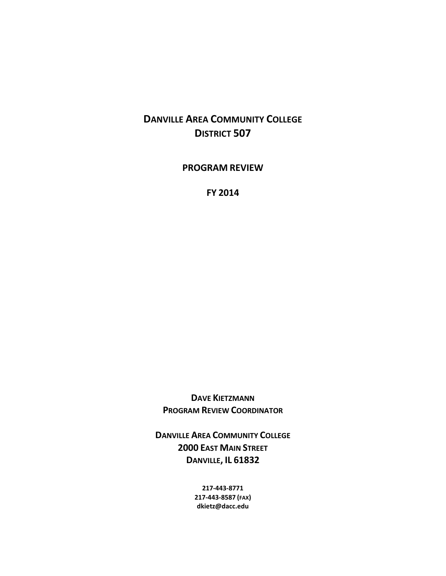# **DANVILLE AREA COMMUNITY COLLEGE DISTRICT 507**

**PROGRAM REVIEW**

**FY 2014**

**DAVE KIETZMANN PROGRAM REVIEW COORDINATOR**

**DANVILLE AREA COMMUNITY COLLEGE 2000 EAST MAIN STREET DANVILLE, IL 61832**

> **217-443-8771 217-443-8587 (FAX) dkietz@dacc.edu**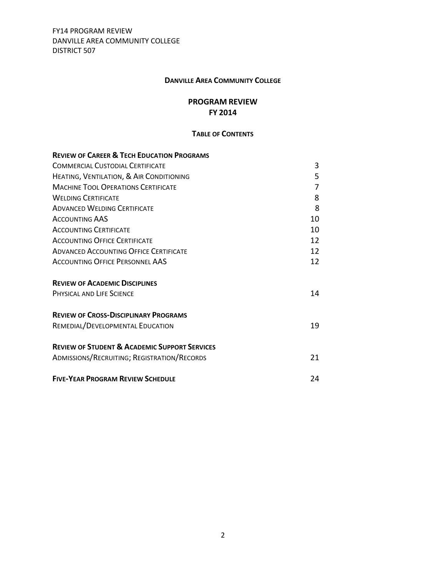#### **DANVILLE AREA COMMUNITY COLLEGE**

#### **PROGRAM REVIEW FY 2014**

#### **TABLE OF CONTENTS**

| <b>REVIEW OF CAREER &amp; TECH EDUCATION PROGRAMS</b>    |    |
|----------------------------------------------------------|----|
| COMMERCIAL CUSTODIAL CERTIFICATE                         | 3  |
| HEATING, VENTILATION, & AIR CONDITIONING                 | 5  |
| <b>MACHINE TOOL OPERATIONS CERTIFICATE</b>               | 7  |
| <b>WELDING CERTIFICATE</b>                               | 8  |
| <b>ADVANCED WELDING CERTIFICATE</b>                      | 8  |
| <b>ACCOUNTING AAS</b>                                    | 10 |
| <b>ACCOUNTING CERTIFICATE</b>                            | 10 |
| <b>ACCOUNTING OFFICE CERTIFICATE</b>                     | 12 |
| <b>ADVANCED ACCOUNTING OFFICE CERTIFICATE</b>            | 12 |
| <b>ACCOUNTING OFFICE PERSONNEL AAS</b>                   | 12 |
| <b>REVIEW OF ACADEMIC DISCIPLINES</b>                    |    |
| <b>PHYSICAL AND LIFE SCIENCE</b>                         | 14 |
| <b>REVIEW OF CROSS-DISCIPLINARY PROGRAMS</b>             |    |
| REMEDIAL/DEVELOPMENTAL EDUCATION                         | 19 |
| <b>REVIEW OF STUDENT &amp; ACADEMIC SUPPORT SERVICES</b> |    |
| ADMISSIONS/RECRUITING; REGISTRATION/RECORDS              | 21 |
| <b>FIVE-YEAR PROGRAM REVIEW SCHEDULE</b>                 | 24 |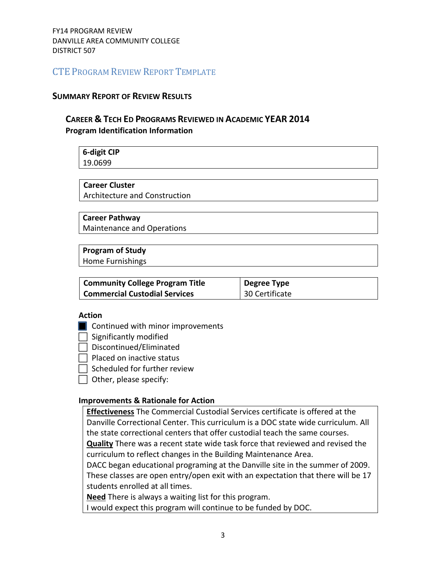#### **SUMMARY REPORT OF REVIEW RESULTS**

# **CAREER & TECH ED PROGRAMS REVIEWED IN ACADEMIC YEAR 2014 Program Identification Information**

**6-digit CIP** 19.0699

#### **Career Cluster**

Architecture and Construction

#### **Career Pathway**

Maintenance and Operations

#### **Program of Study**

Home Furnishings

| <b>Community College Program Title</b> | Degree Type    |
|----------------------------------------|----------------|
| <b>Commercial Custodial Services</b>   | 30 Certificate |

#### **Action**

**Continued with minor improvements** 

 $\Box$  Significantly modified

 $\Box$  Discontinued/Eliminated

 $\Box$  Placed on inactive status

 $\Box$  Scheduled for further review

 $\Box$  Other, please specify:

#### **Improvements & Rationale for Action**

**Effectiveness** The Commercial Custodial Services certificate is offered at the Danville Correctional Center. This curriculum is a DOC state wide curriculum. All the state correctional centers that offer custodial teach the same courses. **Quality** There was a recent state wide task force that reviewed and revised the

curriculum to reflect changes in the Building Maintenance Area.

DACC began educational programing at the Danville site in the summer of 2009. These classes are open entry/open exit with an expectation that there will be 17 students enrolled at all times.

**Need** There is always a waiting list for this program.

I would expect this program will continue to be funded by DOC.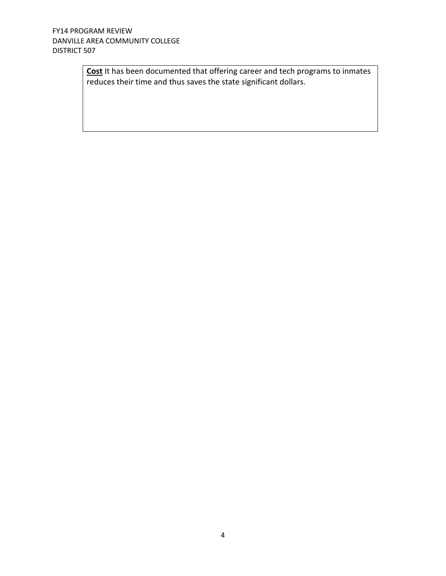**Cost** It has been documented that offering career and tech programs to inmates reduces their time and thus saves the state significant dollars.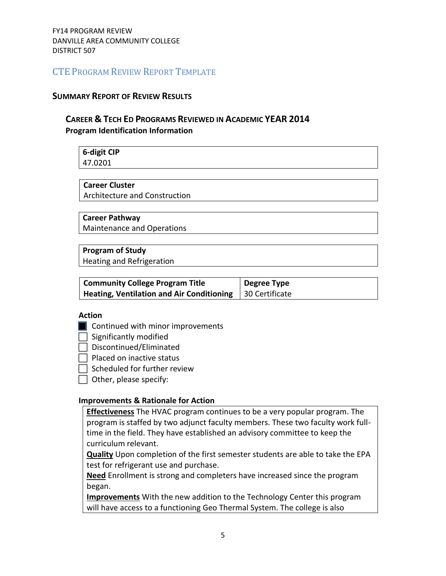#### **SUMMARY REPORT OF REVIEW RESULTS**

# **CAREER & TECH ED PROGRAMS REVIEWED IN ACADEMIC YEAR 2014 Program Identification Information**

# **6-digit CIP**

47.0201

# **Career Cluster**

Architecture and Construction

#### **Career Pathway**

Maintenance and Operations

#### **Program of Study**

Heating and Refrigeration

| <b>Community College Program Title</b>    | Degree Type    |
|-------------------------------------------|----------------|
| Heating, Ventilation and Air Conditioning | 30 Certificate |

#### **Action**

**Continued with minor improvements** 

 $\Box$  Significantly modified

 $\Box$  Discontinued/Eliminated

 $\Box$  Placed on inactive status

 $\Box$  Scheduled for further review

 $\Box$  Other, please specify:

#### **Improvements & Rationale for Action**

**Effectiveness** The HVAC program continues to be a very popular program. The program is staffed by two adjunct faculty members. These two faculty work fulltime in the field. They have established an advisory committee to keep the curriculum relevant.

**Quality** Upon completion of the first semester students are able to take the EPA test for refrigerant use and purchase.

**Need** Enrollment is strong and completers have increased since the program began.

**Improvements** With the new addition to the Technology Center this program will have access to a functioning Geo Thermal System. The college is also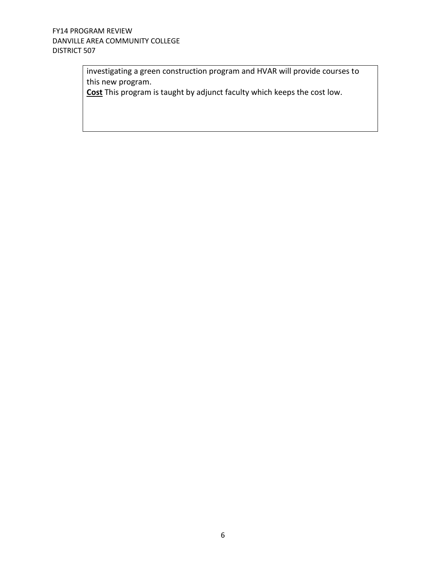investigating a green construction program and HVAR will provide courses to this new program.

**Cost** This program is taught by adjunct faculty which keeps the cost low.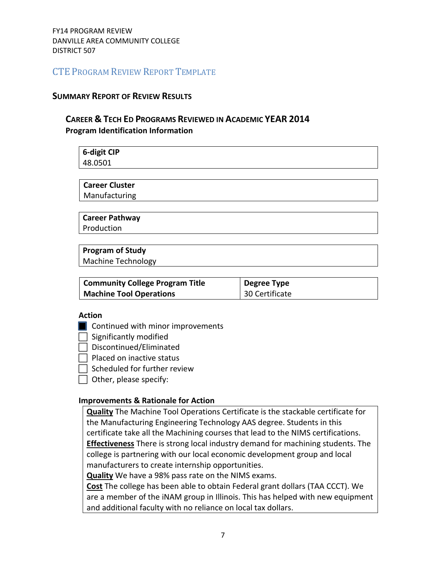#### **SUMMARY REPORT OF REVIEW RESULTS**

# **CAREER & TECH ED PROGRAMS REVIEWED IN ACADEMIC YEAR 2014 Program Identification Information**

**6-digit CIP** 48.0501

**Career Cluster** Manufacturing

**Career Pathway**

Production

# **Program of Study**

Machine Technology

| <b>Community College Program Title</b> | Degree Type                 |
|----------------------------------------|-----------------------------|
| Machine Tool Operations                | <sup>1</sup> 30 Certificate |

#### **Action**

**Continued with minor improvements** 

 $\Box$  Significantly modified

 $\Box$  Discontinued/Eliminated

 $\Box$  Placed on inactive status

 $\Box$  Scheduled for further review

 $\Box$  Other, please specify:

#### **Improvements & Rationale for Action**

**Quality** The Machine Tool Operations Certificate is the stackable certificate for the Manufacturing Engineering Technology AAS degree. Students in this certificate take all the Machining courses that lead to the NIMS certifications. **Effectiveness** There is strong local industry demand for machining students. The college is partnering with our local economic development group and local manufacturers to create internship opportunities.

**Quality** We have a 98% pass rate on the NIMS exams.

**Cost** The college has been able to obtain Federal grant dollars (TAA CCCT). We are a member of the iNAM group in Illinois. This has helped with new equipment and additional faculty with no reliance on local tax dollars.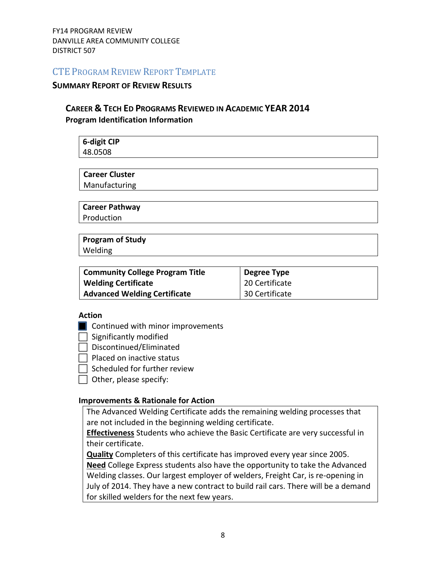#### **SUMMARY REPORT OF REVIEW RESULTS**

# **CAREER & TECH ED PROGRAMS REVIEWED IN ACADEMIC YEAR 2014 Program Identification Information**

| <b>6-digit CIP</b><br>48.0508 |  |
|-------------------------------|--|
|                               |  |
|                               |  |
| <b>Career Cluster</b>         |  |
| Manufacturing                 |  |
|                               |  |

**Career Pathway** Production

**Program of Study** Welding

| <b>Community College Program Title</b> | Degree Type    |
|----------------------------------------|----------------|
| <b>Welding Certificate</b>             | 20 Certificate |
| <b>Advanced Welding Certificate</b>    | 30 Certificate |

#### **Action**

**Continued with minor improvements** 

 $\Box$  Significantly modified

 $\Box$  Discontinued/Eliminated

 $\Box$  Placed on inactive status

 $\Box$  Scheduled for further review

 $\Box$  Other, please specify:

#### **Improvements & Rationale for Action**

The Advanced Welding Certificate adds the remaining welding processes that are not included in the beginning welding certificate.

**Effectiveness** Students who achieve the Basic Certificate are very successful in their certificate.

**Quality** Completers of this certificate has improved every year since 2005.

**Need** College Express students also have the opportunity to take the Advanced Welding classes. Our largest employer of welders, Freight Car, is re-opening in July of 2014. They have a new contract to build rail cars. There will be a demand for skilled welders for the next few years.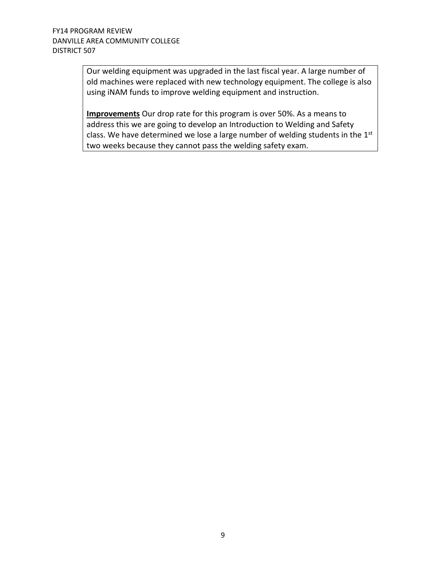Our welding equipment was upgraded in the last fiscal year. A large number of old machines were replaced with new technology equipment. The college is also using iNAM funds to improve welding equipment and instruction.

**Improvements** Our drop rate for this program is over 50%. As a means to address this we are going to develop an Introduction to Welding and Safety class. We have determined we lose a large number of welding students in the 1st two weeks because they cannot pass the welding safety exam.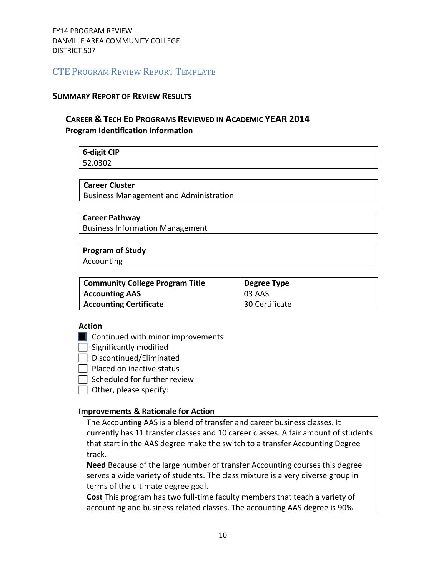#### **SUMMARY REPORT OF REVIEW RESULTS**

### **CAREER & TECH ED PROGRAMS REVIEWED IN ACADEMIC YEAR 2014 Program Identification Information**

# **6-digit CIP**

52.0302

#### **Career Cluster**

Business Management and Administration

#### **Career Pathway**

Business Information Management

# **Program of Study**

Accounting

| Community College Program Title | <b>Degree Type</b> |
|---------------------------------|--------------------|
| <b>Accounting AAS</b>           | $\mid$ 03 AAS      |
| <b>Accounting Certificate</b>   | 30 Certificate     |

#### **Action**

- **Continued with minor improvements**
- $\Box$  Significantly modified
- $\Box$  Discontinued/Eliminated
- $\Box$  Placed on inactive status
	- Scheduled for further review
- $\Box$  Other, please specify:

### **Improvements & Rationale for Action**

The Accounting AAS is a blend of transfer and career business classes. It currently has 11 transfer classes and 10 career classes. A fair amount of students that start in the AAS degree make the switch to a transfer Accounting Degree track.

**Need** Because of the large number of transfer Accounting courses this degree serves a wide variety of students. The class mixture is a very diverse group in terms of the ultimate degree goal.

**Cost** This program has two full-time faculty members that teach a variety of accounting and business related classes. The accounting AAS degree is 90%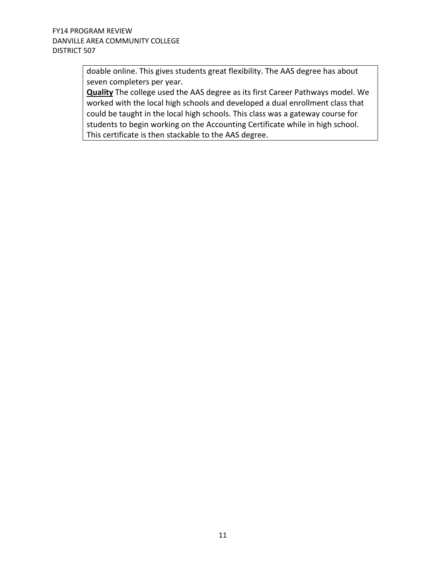doable online. This gives students great flexibility. The AAS degree has about seven completers per year.

**Quality** The college used the AAS degree as its first Career Pathways model. We worked with the local high schools and developed a dual enrollment class that could be taught in the local high schools. This class was a gateway course for students to begin working on the Accounting Certificate while in high school. This certificate is then stackable to the AAS degree.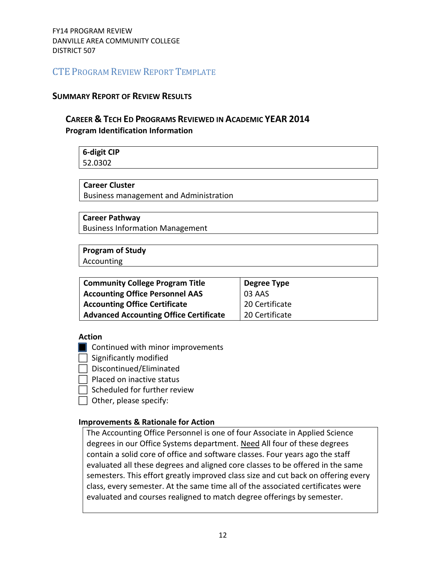#### **SUMMARY REPORT OF REVIEW RESULTS**

# **CAREER & TECH ED PROGRAMS REVIEWED IN ACADEMIC YEAR 2014 Program Identification Information**

# **6-digit CIP** 52.0302

**Career Cluster**

Business management and Administration

#### **Career Pathway**

Business Information Management

# **Program of Study**

Accounting

| <b>Community College Program Title</b>        | Degree Type    |
|-----------------------------------------------|----------------|
| <b>Accounting Office Personnel AAS</b>        | 03 AAS         |
| Accounting Office Certificate                 | 20 Certificate |
| <b>Advanced Accounting Office Certificate</b> | 20 Certificate |

#### **Action**

- **Continued with minor improvements**
- $\Box$  Significantly modified
- $\Box$  Discontinued/Eliminated
- Placed on inactive status
- $\Box$  Scheduled for further review
- $\Box$  Other, please specify:

#### **Improvements & Rationale for Action**

The Accounting Office Personnel is one of four Associate in Applied Science degrees in our Office Systems department. Need All four of these degrees contain a solid core of office and software classes. Four years ago the staff evaluated all these degrees and aligned core classes to be offered in the same semesters. This effort greatly improved class size and cut back on offering every class, every semester. At the same time all of the associated certificates were evaluated and courses realigned to match degree offerings by semester.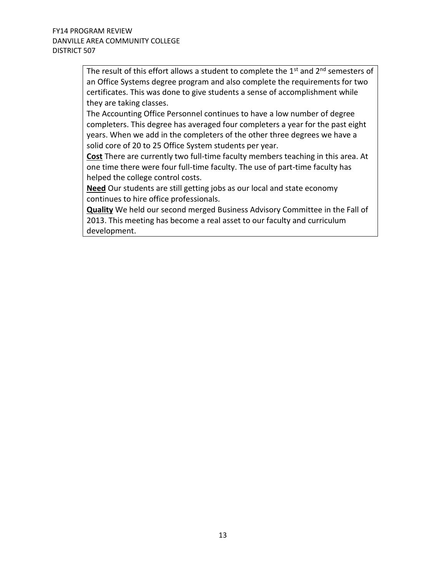The result of this effort allows a student to complete the  $1<sup>st</sup>$  and  $2<sup>nd</sup>$  semesters of an Office Systems degree program and also complete the requirements for two certificates. This was done to give students a sense of accomplishment while they are taking classes.

The Accounting Office Personnel continues to have a low number of degree completers. This degree has averaged four completers a year for the past eight years. When we add in the completers of the other three degrees we have a solid core of 20 to 25 Office System students per year.

**Cost** There are currently two full-time faculty members teaching in this area. At one time there were four full-time faculty. The use of part-time faculty has helped the college control costs.

**Need** Our students are still getting jobs as our local and state economy continues to hire office professionals.

**Quality** We held our second merged Business Advisory Committee in the Fall of 2013. This meeting has become a real asset to our faculty and curriculum development.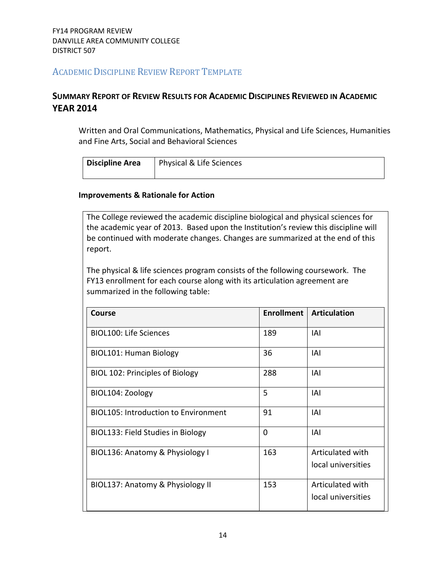# ACADEMIC DISCIPLINE REVIEW REPORT TEMPLATE

# **SUMMARY REPORT OF REVIEW RESULTS FOR ACADEMIC DISCIPLINES REVIEWED IN ACADEMIC YEAR 2014**

Written and Oral Communications, Mathematics, Physical and Life Sciences, Humanities and Fine Arts, Social and Behavioral Sciences

| <b>Discipline Area</b> | Physical & Life Sciences |
|------------------------|--------------------------|
|                        |                          |

#### **Improvements & Rationale for Action**

The College reviewed the academic discipline biological and physical sciences for the academic year of 2013. Based upon the Institution's review this discipline will be continued with moderate changes. Changes are summarized at the end of this report.

The physical & life sciences program consists of the following coursework. The FY13 enrollment for each course along with its articulation agreement are summarized in the following table:

| <b>Course</b>                               | <b>Enrollment</b> | <b>Articulation</b> |
|---------------------------------------------|-------------------|---------------------|
| <b>BIOL100: Life Sciences</b>               | 189               | IAI                 |
| <b>BIOL101: Human Biology</b>               | 36                | IAI                 |
| BIOL 102: Principles of Biology             | 288               | IAI                 |
| BIOL104: Zoology                            | 5                 | IAI                 |
| <b>BIOL105: Introduction to Environment</b> | 91                | IAI                 |
| BIOL133: Field Studies in Biology           | $\Omega$          | IAI                 |
| BIOL136: Anatomy & Physiology I             | 163               | Articulated with    |
|                                             |                   | local universities  |
| BIOL137: Anatomy & Physiology II            | 153               | Articulated with    |
|                                             |                   | local universities  |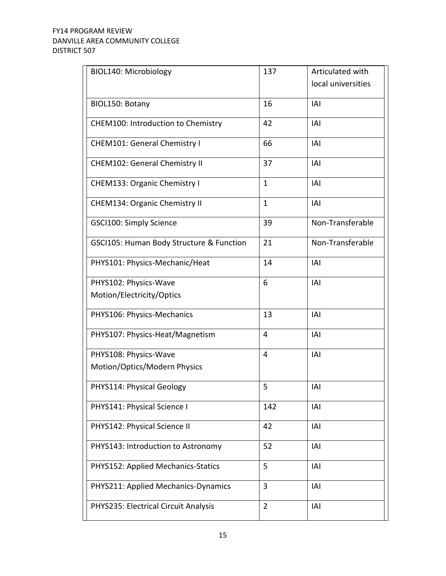| BIOL140: Microbiology                    | 137            | Articulated with   |
|------------------------------------------|----------------|--------------------|
|                                          |                | local universities |
| BIOL150: Botany                          | 16             | <b>IAI</b>         |
|                                          |                |                    |
| CHEM100: Introduction to Chemistry       | 42             | IAI                |
| <b>CHEM101: General Chemistry I</b>      | 66             | <b>IAI</b>         |
| <b>CHEM102: General Chemistry II</b>     | 37             | IAI                |
| CHEM133: Organic Chemistry I             | $\mathbf{1}$   | IAI                |
| CHEM134: Organic Chemistry II            | $\mathbf{1}$   | IAI                |
| GSCI100: Simply Science                  | 39             | Non-Transferable   |
| GSCI105: Human Body Structure & Function | 21             | Non-Transferable   |
| PHYS101: Physics-Mechanic/Heat           | 14             | <b>IAI</b>         |
| PHYS102: Physics-Wave                    | 6              | <b>IAI</b>         |
| Motion/Electricity/Optics                |                |                    |
| PHYS106: Physics-Mechanics               | 13             | <b>IAI</b>         |
| PHYS107: Physics-Heat/Magnetism          | 4              | IAI                |
| PHYS108: Physics-Wave                    | 4              | IAI                |
| Motion/Optics/Modern Physics             |                |                    |
| PHYS114: Physical Geology                | 5              | IAI                |
| PHYS141: Physical Science I              | 142            | IAI                |
| PHYS142: Physical Science II             | 42             | IAI                |
| PHYS143: Introduction to Astronomy       | 52             | IAI                |
| PHYS152: Applied Mechanics-Statics       | 5              | IAI                |
| PHYS211: Applied Mechanics-Dynamics      | 3              | IAI                |
| PHYS235: Electrical Circuit Analysis     | $\overline{2}$ | IAI                |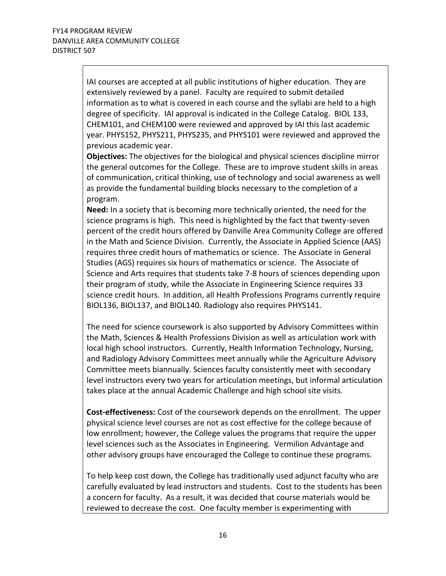IAI courses are accepted at all public institutions of higher education. They are extensively reviewed by a panel. Faculty are required to submit detailed information as to what is covered in each course and the syllabi are held to a high degree of specificity. IAI approval is indicated in the College Catalog. BIOL 133, CHEM101, and CHEM100 were reviewed and approved by IAI this last academic year. PHYS152, PHYS211, PHYS235, and PHYS101 were reviewed and approved the previous academic year.

**Objectives:** The objectives for the biological and physical sciences discipline mirror the general outcomes for the College. These are to improve student skills in areas of communication, critical thinking, use of technology and social awareness as well as provide the fundamental building blocks necessary to the completion of a program.

**Need:** In a society that is becoming more technically oriented, the need for the science programs is high. This need is highlighted by the fact that twenty-seven percent of the credit hours offered by Danville Area Community College are offered in the Math and Science Division. Currently, the Associate in Applied Science (AAS) requires three credit hours of mathematics or science. The Associate in General Studies (AGS) requires six hours of mathematics or science. The Associate of Science and Arts requires that students take 7-8 hours of sciences depending upon their program of study, while the Associate in Engineering Science requires 33 science credit hours. In addition, all Health Professions Programs currently require BIOL136, BIOL137, and BIOL140. Radiology also requires PHYS141.

The need for science coursework is also supported by Advisory Committees within the Math, Sciences & Health Professions Division as well as articulation work with local high school instructors. Currently, Health Information Technology, Nursing, and Radiology Advisory Committees meet annually while the Agriculture Advisory Committee meets biannually. Sciences faculty consistently meet with secondary level instructors every two years for articulation meetings, but informal articulation takes place at the annual Academic Challenge and high school site visits.

**Cost-effectiveness:** Cost of the coursework depends on the enrollment. The upper physical science level courses are not as cost effective for the college because of low enrollment; however, the College values the programs that require the upper level sciences such as the Associates in Engineering. Vermilion Advantage and other advisory groups have encouraged the College to continue these programs.

To help keep cost down, the College has traditionally used adjunct faculty who are carefully evaluated by lead instructors and students. Cost to the students has been a concern for faculty. As a result, it was decided that course materials would be reviewed to decrease the cost. One faculty member is experimenting with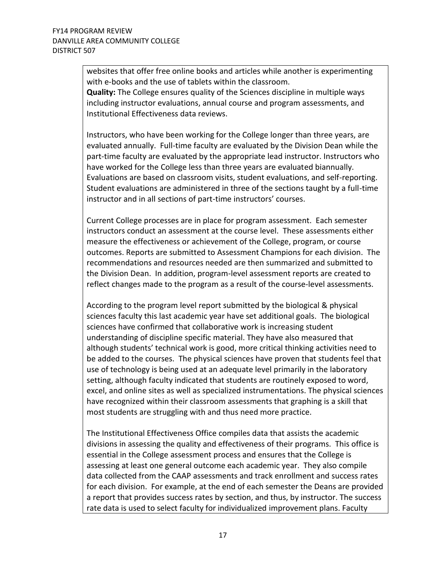websites that offer free online books and articles while another is experimenting with e-books and the use of tablets within the classroom. **Quality:** The College ensures quality of the Sciences discipline in multiple ways including instructor evaluations, annual course and program assessments, and Institutional Effectiveness data reviews.

Instructors, who have been working for the College longer than three years, are evaluated annually. Full-time faculty are evaluated by the Division Dean while the part-time faculty are evaluated by the appropriate lead instructor. Instructors who have worked for the College less than three years are evaluated biannually. Evaluations are based on classroom visits, student evaluations, and self-reporting. Student evaluations are administered in three of the sections taught by a full-time instructor and in all sections of part-time instructors' courses.

Current College processes are in place for program assessment. Each semester instructors conduct an assessment at the course level. These assessments either measure the effectiveness or achievement of the College, program, or course outcomes. Reports are submitted to Assessment Champions for each division. The recommendations and resources needed are then summarized and submitted to the Division Dean. In addition, program-level assessment reports are created to reflect changes made to the program as a result of the course-level assessments.

According to the program level report submitted by the biological & physical sciences faculty this last academic year have set additional goals. The biological sciences have confirmed that collaborative work is increasing student understanding of discipline specific material. They have also measured that although students' technical work is good, more critical thinking activities need to be added to the courses. The physical sciences have proven that students feel that use of technology is being used at an adequate level primarily in the laboratory setting, although faculty indicated that students are routinely exposed to word, excel, and online sites as well as specialized instrumentations. The physical sciences have recognized within their classroom assessments that graphing is a skill that most students are struggling with and thus need more practice.

The Institutional Effectiveness Office compiles data that assists the academic divisions in assessing the quality and effectiveness of their programs. This office is essential in the College assessment process and ensures that the College is assessing at least one general outcome each academic year. They also compile data collected from the CAAP assessments and track enrollment and success rates for each division. For example, at the end of each semester the Deans are provided a report that provides success rates by section, and thus, by instructor. The success rate data is used to select faculty for individualized improvement plans. Faculty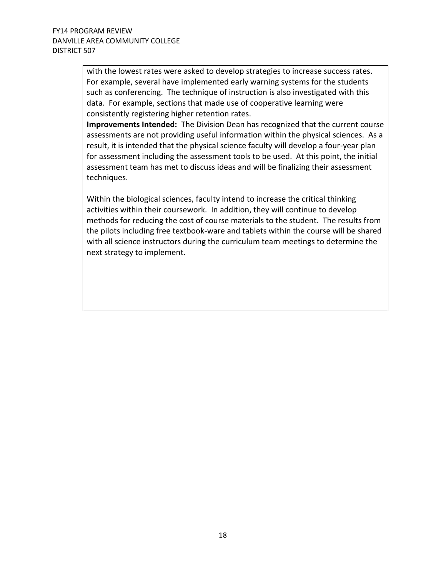with the lowest rates were asked to develop strategies to increase success rates. For example, several have implemented early warning systems for the students such as conferencing. The technique of instruction is also investigated with this data. For example, sections that made use of cooperative learning were consistently registering higher retention rates.

**Improvements Intended:** The Division Dean has recognized that the current course assessments are not providing useful information within the physical sciences. As a result, it is intended that the physical science faculty will develop a four-year plan for assessment including the assessment tools to be used. At this point, the initial assessment team has met to discuss ideas and will be finalizing their assessment techniques.

Within the biological sciences, faculty intend to increase the critical thinking activities within their coursework. In addition, they will continue to develop methods for reducing the cost of course materials to the student. The results from the pilots including free textbook-ware and tablets within the course will be shared with all science instructors during the curriculum team meetings to determine the next strategy to implement.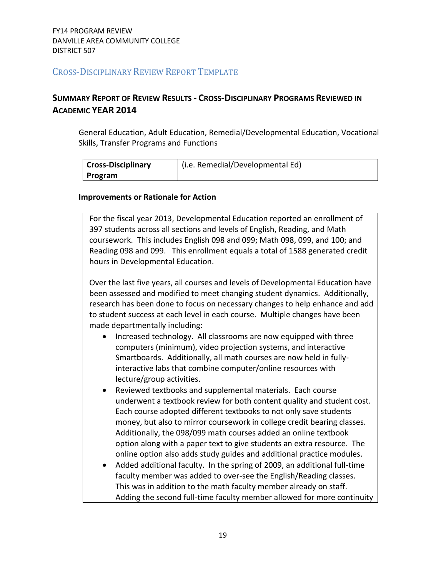# CROSS-DISCIPLINARY REVIEW REPORT TEMPLATE

# **SUMMARY REPORT OF REVIEW RESULTS - CROSS-DISCIPLINARY PROGRAMS REVIEWED IN ACADEMIC YEAR 2014**

General Education, Adult Education, Remedial/Developmental Education, Vocational Skills, Transfer Programs and Functions

| <b>Cross-Disciplinary</b> | (i.e. Remedial/Developmental Ed) |
|---------------------------|----------------------------------|
| Program                   |                                  |

#### **Improvements or Rationale for Action**

For the fiscal year 2013, Developmental Education reported an enrollment of 397 students across all sections and levels of English, Reading, and Math coursework. This includes English 098 and 099; Math 098, 099, and 100; and Reading 098 and 099. This enrollment equals a total of 1588 generated credit hours in Developmental Education.

Over the last five years, all courses and levels of Developmental Education have been assessed and modified to meet changing student dynamics. Additionally, research has been done to focus on necessary changes to help enhance and add to student success at each level in each course. Multiple changes have been made departmentally including:

- Increased technology. All classrooms are now equipped with three computers (minimum), video projection systems, and interactive Smartboards. Additionally, all math courses are now held in fullyinteractive labs that combine computer/online resources with lecture/group activities.
- Reviewed textbooks and supplemental materials. Each course underwent a textbook review for both content quality and student cost. Each course adopted different textbooks to not only save students money, but also to mirror coursework in college credit bearing classes. Additionally, the 098/099 math courses added an online textbook option along with a paper text to give students an extra resource. The online option also adds study guides and additional practice modules.
- Added additional faculty. In the spring of 2009, an additional full-time faculty member was added to over-see the English/Reading classes. This was in addition to the math faculty member already on staff. Adding the second full-time faculty member allowed for more continuity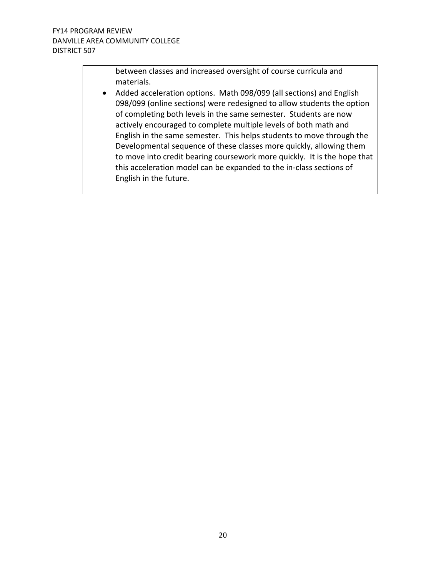between classes and increased oversight of course curricula and materials.

 Added acceleration options. Math 098/099 (all sections) and English 098/099 (online sections) were redesigned to allow students the option of completing both levels in the same semester. Students are now actively encouraged to complete multiple levels of both math and English in the same semester. This helps students to move through the Developmental sequence of these classes more quickly, allowing them to move into credit bearing coursework more quickly. It is the hope that this acceleration model can be expanded to the in-class sections of English in the future.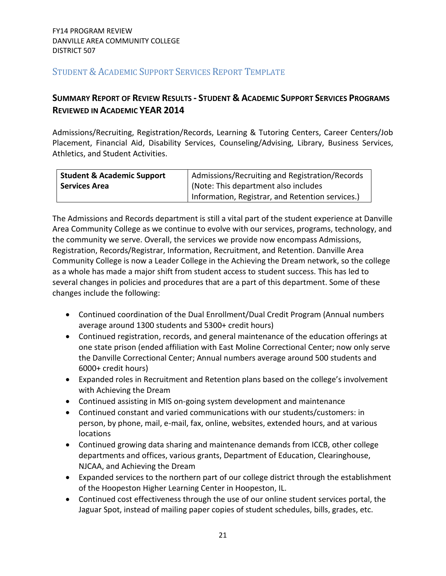# STUDENT & ACADEMIC SUPPORT SERVICES REPORT TEMPLATE

# **SUMMARY REPORT OF REVIEW RESULTS - STUDENT & ACADEMIC SUPPORT SERVICES PROGRAMS REVIEWED IN ACADEMIC YEAR 2014**

Admissions/Recruiting, Registration/Records, Learning & Tutoring Centers, Career Centers/Job Placement, Financial Aid, Disability Services, Counseling/Advising, Library, Business Services, Athletics, and Student Activities.

| <b>Student &amp; Academic Support</b> | Admissions/Recruiting and Registration/Records   |  |  |
|---------------------------------------|--------------------------------------------------|--|--|
| <b>Services Area</b>                  | (Note: This department also includes             |  |  |
|                                       | Information, Registrar, and Retention services.) |  |  |

The Admissions and Records department is still a vital part of the student experience at Danville Area Community College as we continue to evolve with our services, programs, technology, and the community we serve. Overall, the services we provide now encompass Admissions, Registration, Records/Registrar, Information, Recruitment, and Retention. Danville Area Community College is now a Leader College in the Achieving the Dream network, so the college as a whole has made a major shift from student access to student success. This has led to several changes in policies and procedures that are a part of this department. Some of these changes include the following:

- Continued coordination of the Dual Enrollment/Dual Credit Program (Annual numbers average around 1300 students and 5300+ credit hours)
- Continued registration, records, and general maintenance of the education offerings at one state prison (ended affiliation with East Moline Correctional Center; now only serve the Danville Correctional Center; Annual numbers average around 500 students and 6000+ credit hours)
- Expanded roles in Recruitment and Retention plans based on the college's involvement with Achieving the Dream
- Continued assisting in MIS on-going system development and maintenance
- Continued constant and varied communications with our students/customers: in person, by phone, mail, e-mail, fax, online, websites, extended hours, and at various locations
- Continued growing data sharing and maintenance demands from ICCB, other college departments and offices, various grants, Department of Education, Clearinghouse, NJCAA, and Achieving the Dream
- Expanded services to the northern part of our college district through the establishment of the Hoopeston Higher Learning Center in Hoopeston, IL.
- Continued cost effectiveness through the use of our online student services portal, the Jaguar Spot, instead of mailing paper copies of student schedules, bills, grades, etc.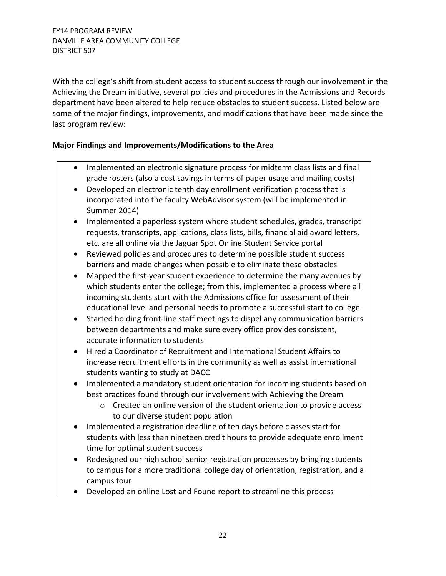With the college's shift from student access to student success through our involvement in the Achieving the Dream initiative, several policies and procedures in the Admissions and Records department have been altered to help reduce obstacles to student success. Listed below are some of the major findings, improvements, and modifications that have been made since the last program review:

### **Major Findings and Improvements/Modifications to the Area**

- Implemented an electronic signature process for midterm class lists and final grade rosters (also a cost savings in terms of paper usage and mailing costs)
- Developed an electronic tenth day enrollment verification process that is incorporated into the faculty WebAdvisor system (will be implemented in Summer 2014)
- Implemented a paperless system where student schedules, grades, transcript requests, transcripts, applications, class lists, bills, financial aid award letters, etc. are all online via the Jaguar Spot Online Student Service portal
- Reviewed policies and procedures to determine possible student success barriers and made changes when possible to eliminate these obstacles
- Mapped the first-year student experience to determine the many avenues by which students enter the college; from this, implemented a process where all incoming students start with the Admissions office for assessment of their educational level and personal needs to promote a successful start to college.
- Started holding front-line staff meetings to dispel any communication barriers between departments and make sure every office provides consistent, accurate information to students
- Hired a Coordinator of Recruitment and International Student Affairs to increase recruitment efforts in the community as well as assist international students wanting to study at DACC
- Implemented a mandatory student orientation for incoming students based on best practices found through our involvement with Achieving the Dream
	- o Created an online version of the student orientation to provide access to our diverse student population
- Implemented a registration deadline of ten days before classes start for students with less than nineteen credit hours to provide adequate enrollment time for optimal student success
- Redesigned our high school senior registration processes by bringing students to campus for a more traditional college day of orientation, registration, and a campus tour
- Developed an online Lost and Found report to streamline this process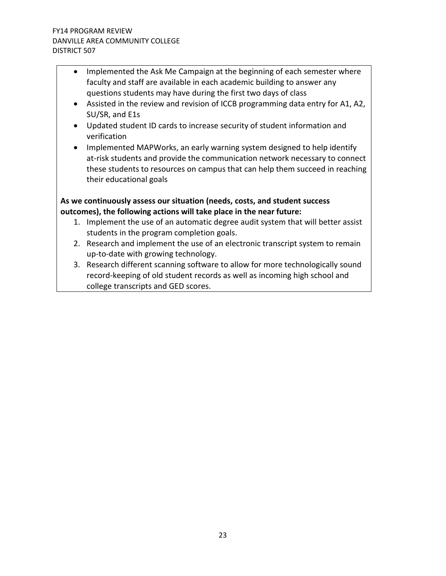- Implemented the Ask Me Campaign at the beginning of each semester where faculty and staff are available in each academic building to answer any questions students may have during the first two days of class
- Assisted in the review and revision of ICCB programming data entry for A1, A2, SU/SR, and E1s
- Updated student ID cards to increase security of student information and verification
- Implemented MAPWorks, an early warning system designed to help identify at-risk students and provide the communication network necessary to connect these students to resources on campus that can help them succeed in reaching their educational goals

# **As we continuously assess our situation (needs, costs, and student success outcomes), the following actions will take place in the near future:**

- 1. Implement the use of an automatic degree audit system that will better assist students in the program completion goals.
- 2. Research and implement the use of an electronic transcript system to remain up-to-date with growing technology.
- 3. Research different scanning software to allow for more technologically sound record-keeping of old student records as well as incoming high school and college transcripts and GED scores.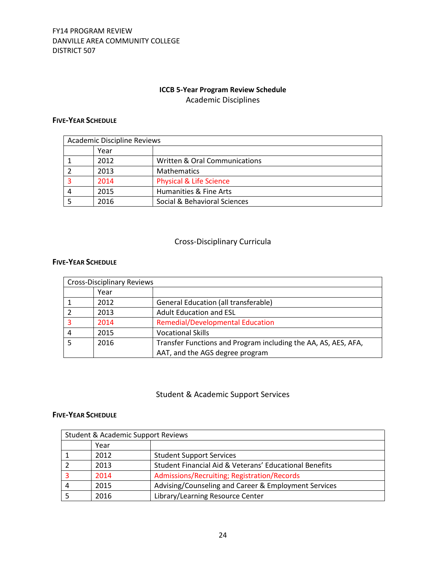# **ICCB 5-Year Program Review Schedule** Academic Disciplines

#### **FIVE-YEAR SCHEDULE**

| <b>Academic Discipline Reviews</b> |      |                                          |  |  |
|------------------------------------|------|------------------------------------------|--|--|
|                                    | Year |                                          |  |  |
|                                    | 2012 | <b>Written &amp; Oral Communications</b> |  |  |
|                                    | 2013 | <b>Mathematics</b>                       |  |  |
|                                    | 2014 | <b>Physical &amp; Life Science</b>       |  |  |
|                                    | 2015 | Humanities & Fine Arts                   |  |  |
|                                    | 2016 | Social & Behavioral Sciences             |  |  |

# Cross-Disciplinary Curricula

#### **FIVE-YEAR SCHEDULE**

|   | <b>Cross-Disciplinary Reviews</b> |                                                                |
|---|-----------------------------------|----------------------------------------------------------------|
|   | Year                              |                                                                |
|   | 2012                              | <b>General Education (all transferable)</b>                    |
|   | 2013                              | <b>Adult Education and ESL</b>                                 |
|   | 2014                              | <b>Remedial/Developmental Education</b>                        |
| 4 | 2015                              | <b>Vocational Skills</b>                                       |
|   | 2016                              | Transfer Functions and Program including the AA, AS, AES, AFA, |
|   |                                   | AAT, and the AGS degree program                                |

#### Student & Academic Support Services

#### **FIVE-YEAR SCHEDULE**

| <b>Student &amp; Academic Support Reviews</b> |                                                        |  |  |  |
|-----------------------------------------------|--------------------------------------------------------|--|--|--|
| Year                                          |                                                        |  |  |  |
| 2012                                          | <b>Student Support Services</b>                        |  |  |  |
| 2013                                          | Student Financial Aid & Veterans' Educational Benefits |  |  |  |
| 2014                                          | Admissions/Recruiting; Registration/Records            |  |  |  |
| 2015                                          | Advising/Counseling and Career & Employment Services   |  |  |  |
| 2016                                          | Library/Learning Resource Center                       |  |  |  |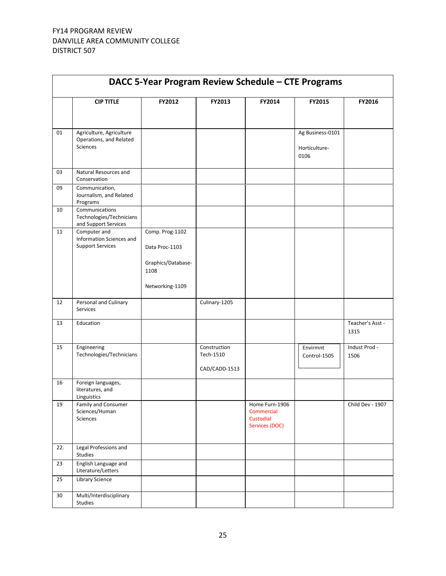| DACC 5-Year Program Review Schedule - CTE Programs |                                                                        |                                   |                                            |                                                             |                                   |                          |
|----------------------------------------------------|------------------------------------------------------------------------|-----------------------------------|--------------------------------------------|-------------------------------------------------------------|-----------------------------------|--------------------------|
|                                                    | <b>CIP TITLE</b>                                                       | FY2012                            | FY2013                                     | FY2014                                                      | FY2015                            | FY2016                   |
|                                                    |                                                                        |                                   |                                            |                                                             |                                   |                          |
| 01                                                 | Agriculture, Agriculture<br>Operations, and Related<br><b>Sciences</b> |                                   |                                            |                                                             | Ag Business-0101<br>Horticulture- |                          |
|                                                    |                                                                        |                                   |                                            |                                                             | 0106                              |                          |
| 03                                                 | Natural Resources and<br>Conservation                                  |                                   |                                            |                                                             |                                   |                          |
| 09                                                 | Communication,<br>Journalism, and Related<br>Programs                  |                                   |                                            |                                                             |                                   |                          |
| 10                                                 | Communications<br>Technologies/Technicians<br>and Support Services     |                                   |                                            |                                                             |                                   |                          |
| 11                                                 | Computer and<br>Information Sciences and<br><b>Support Services</b>    | Comp. Prog-1102<br>Data Proc-1103 |                                            |                                                             |                                   |                          |
|                                                    |                                                                        | Graphics/Database-<br>1108        |                                            |                                                             |                                   |                          |
|                                                    |                                                                        | Networking-1109                   |                                            |                                                             |                                   |                          |
| 12                                                 | Personal and Culinary<br>Services                                      |                                   | Culinary-1205                              |                                                             |                                   |                          |
| 13                                                 | Education                                                              |                                   |                                            |                                                             |                                   | Teacher's Asst -<br>1315 |
| 15                                                 | Engineering<br>Technologies/Technicians                                |                                   | Construction<br>Tech-1510<br>CAD/CADD-1513 |                                                             | Envirmnt<br>Control-1505          | Indust Prod -<br>1506    |
| 16                                                 | Foreign languages,<br>literatures, and<br>Linguistics                  |                                   |                                            |                                                             |                                   |                          |
| 19                                                 | <b>Family and Consumer</b><br>Sciences/Human<br>Sciences               |                                   |                                            | Home Furn-1906<br>Commercial<br>Custodial<br>Services (DOC) |                                   | Child Dev - 1907         |
| 22.                                                | Legal Professions and<br>Studies                                       |                                   |                                            |                                                             |                                   |                          |
| 23                                                 | English Language and<br>Literature/Letters                             |                                   |                                            |                                                             |                                   |                          |
| 25                                                 | <b>Library Science</b>                                                 |                                   |                                            |                                                             |                                   |                          |
| $30\,$                                             | Multi/Interdisciplinary<br>Studies                                     |                                   |                                            |                                                             |                                   |                          |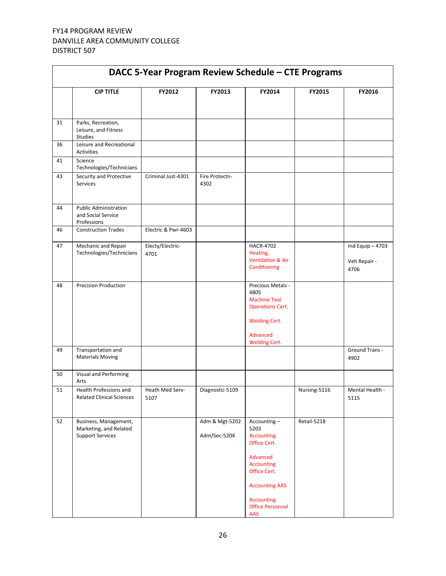| DACC 5-Year Program Review Schedule - CTE Programs |                                                                            |                          |                                |                                                                                                                                                                                           |              |                                           |
|----------------------------------------------------|----------------------------------------------------------------------------|--------------------------|--------------------------------|-------------------------------------------------------------------------------------------------------------------------------------------------------------------------------------------|--------------|-------------------------------------------|
|                                                    | <b>CIP TITLE</b>                                                           | FY2012                   | FY2013                         | FY2014                                                                                                                                                                                    | FY2015       | FY2016                                    |
| 31                                                 | Parks, Recreation,<br>Leisure, and Fitness<br><b>Studies</b>               |                          |                                |                                                                                                                                                                                           |              |                                           |
| 36                                                 | Leisure and Recreational<br><b>Activities</b>                              |                          |                                |                                                                                                                                                                                           |              |                                           |
| 41                                                 | Science<br>Technologies/Technicians                                        |                          |                                |                                                                                                                                                                                           |              |                                           |
| 43                                                 | Security and Protective<br>Services                                        | Criminal Just-4301       | Fire Protectn-<br>4302         |                                                                                                                                                                                           |              |                                           |
| 44                                                 | <b>Public Administration</b><br>and Social Service<br>Professions          |                          |                                |                                                                                                                                                                                           |              |                                           |
| 46                                                 | <b>Construction Trades</b>                                                 | Electric & Pwr-4603      |                                |                                                                                                                                                                                           |              |                                           |
| 47                                                 | Mechanic and Repair<br>Technologies/Technicians                            | Electy/Electric-<br>4701 |                                | <b>HACR-4702</b><br>Heating,<br><b>Ventilation &amp; Air</b><br>Conditioning                                                                                                              |              | Ind Equip $-4703$<br>Veh Repair -<br>4706 |
| 48                                                 | <b>Precision Production</b>                                                |                          |                                | Precious Metals -<br>4805<br><b>Machine Tool</b><br><b>Operations Cert.</b><br><b>Welding Cert.</b><br>Advanced                                                                           |              |                                           |
| 49                                                 | Transportation and<br><b>Materials Moving</b>                              |                          |                                | <b>Welding Cert.</b>                                                                                                                                                                      |              | Ground Trans -<br>4902                    |
| 50                                                 | Visual and Performing<br>Arts                                              |                          |                                |                                                                                                                                                                                           |              |                                           |
| 51                                                 | Health Professions and<br><b>Related Clinical Sciences</b>                 | Heath Med Serv-<br>5107  | Diagnostic-5109                |                                                                                                                                                                                           | Nursing-5116 | Mental Health -<br>5115                   |
| 52                                                 | Business, Management,<br>Marketing, and Related<br><b>Support Services</b> |                          | Adm & Mgt-5202<br>Adm/Sec-5204 | Accounting-<br>5203<br><b>Accounting</b><br>Office Cert.<br>Advanced<br><b>Accounting</b><br>Office Cert.<br><b>Accounting AAS</b><br><b>Accounting</b><br><b>Office Personnel</b><br>AAS | Retail-5218  |                                           |